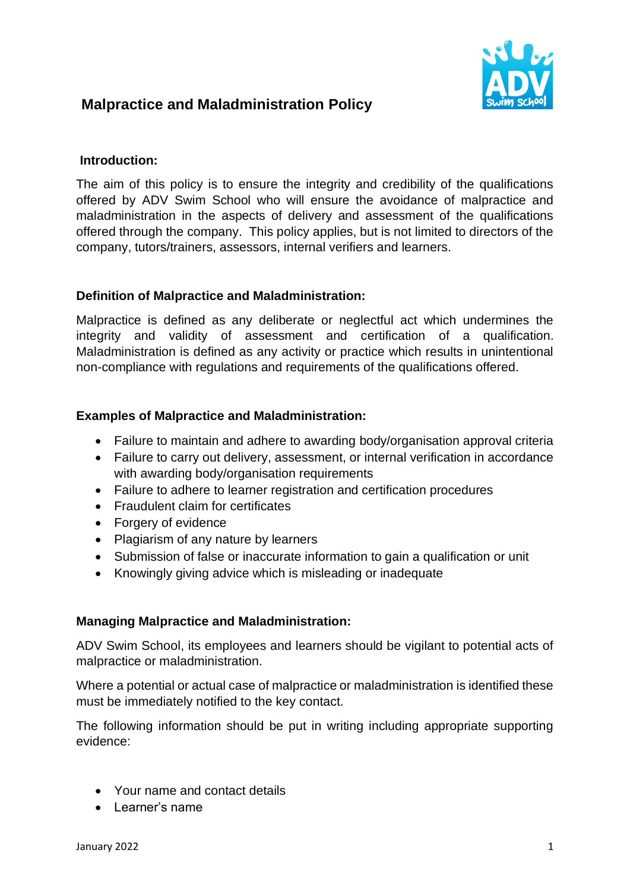# **Malpractice and Maladministration Policy**



### **Introduction:**

The aim of this policy is to ensure the integrity and credibility of the qualifications offered by ADV Swim School who will ensure the avoidance of malpractice and maladministration in the aspects of delivery and assessment of the qualifications offered through the company. This policy applies, but is not limited to directors of the company, tutors/trainers, assessors, internal verifiers and learners.

## **Definition of Malpractice and Maladministration:**

Malpractice is defined as any deliberate or neglectful act which undermines the integrity and validity of assessment and certification of a qualification. Maladministration is defined as any activity or practice which results in unintentional non-compliance with regulations and requirements of the qualifications offered.

## **Examples of Malpractice and Maladministration:**

- Failure to maintain and adhere to awarding body/organisation approval criteria
- Failure to carry out delivery, assessment, or internal verification in accordance with awarding body/organisation requirements
- Failure to adhere to learner registration and certification procedures
- Fraudulent claim for certificates
- Forgery of evidence
- Plagiarism of any nature by learners
- Submission of false or inaccurate information to gain a qualification or unit
- Knowingly giving advice which is misleading or inadequate

### **Managing Malpractice and Maladministration:**

ADV Swim School, its employees and learners should be vigilant to potential acts of malpractice or maladministration.

Where a potential or actual case of malpractice or maladministration is identified these must be immediately notified to the key contact.

The following information should be put in writing including appropriate supporting evidence:

- Your name and contact details
- Learner's name